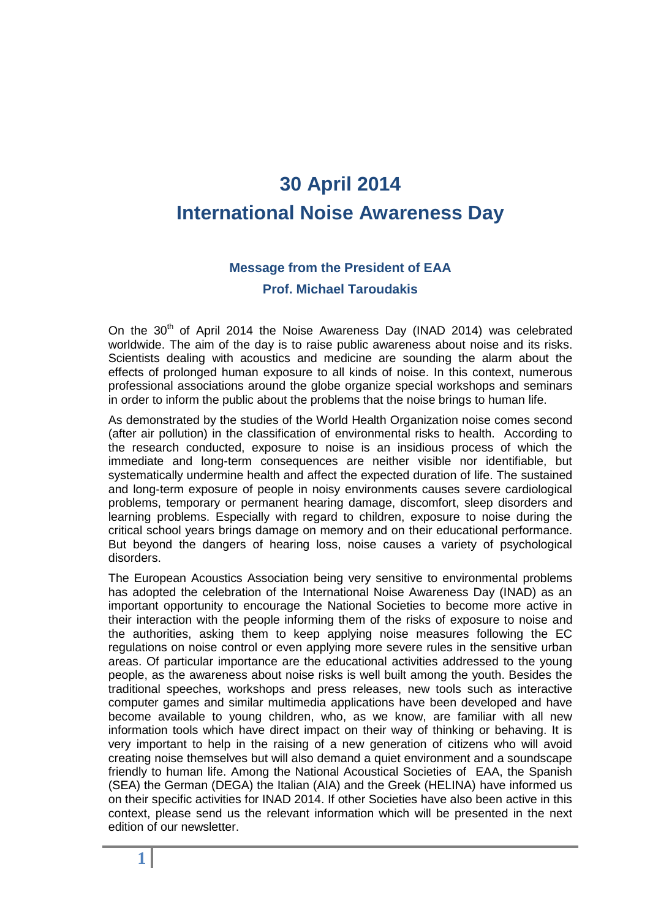## **30 April 2014 International Noise Awareness Day**

## **Message from the President of EAA Prof. Michael Taroudakis**

On the 30<sup>th</sup> of April 2014 the Noise Awareness Day (INAD 2014) was celebrated worldwide. The aim of the day is to raise public awareness about noise and its risks. Scientists dealing with acoustics and medicine are sounding the alarm about the effects of prolonged human exposure to all kinds of noise. In this context, numerous professional associations around the globe organize special workshops and seminars in order to inform the public about the problems that the noise brings to human life.

As demonstrated by the studies of the World Health Organization noise comes second (after air pollution) in the classification of environmental risks to health. According to the research conducted, exposure to noise is an insidious process of which the immediate and long-term consequences are neither visible nor identifiable, but systematically undermine health and affect the expected duration of life. The sustained and long-term exposure of people in noisy environments causes severe cardiological problems, temporary or permanent hearing damage, discomfort, sleep disorders and learning problems. Especially with regard to children, exposure to noise during the critical school years brings damage on memory and on their educational performance. But beyond the dangers of hearing loss, noise causes a variety of psychological disorders.

The European Acoustics Association being very sensitive to environmental problems has adopted the celebration of the International Noise Awareness Day (INAD) as an important opportunity to encourage the National Societies to become more active in their interaction with the people informing them of the risks of exposure to noise and the authorities, asking them to keep applying noise measures following the EC regulations on noise control or even applying more severe rules in the sensitive urban areas. Of particular importance are the educational activities addressed to the young people, as the awareness about noise risks is well built among the youth. Besides the traditional speeches, workshops and press releases, new tools such as interactive computer games and similar multimedia applications have been developed and have become available to young children, who, as we know, are familiar with all new information tools which have direct impact on their way of thinking or behaving. It is very important to help in the raising of a new generation of citizens who will avoid creating noise themselves but will also demand a quiet environment and a soundscape friendly to human life. Among the National Acoustical Societies of EAA, the Spanish (SEA) the German (DEGA) the Italian (AIA) and the Greek (HELINA) have informed us on their specific activities for INAD 2014. If other Societies have also been active in this context, please send us the relevant information which will be presented in the next edition of our newsletter.